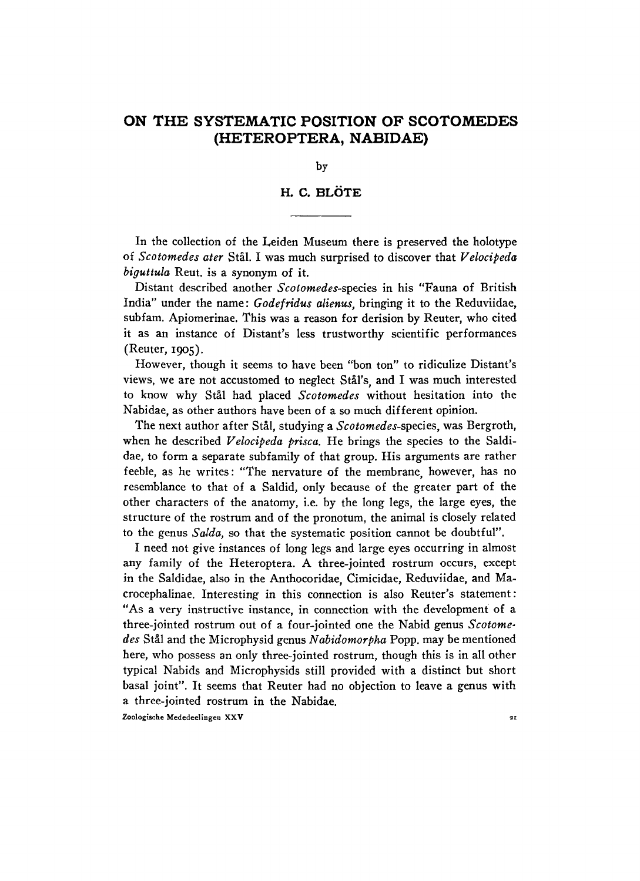## **ON THE SYSTEMATIC POSITION OF SCOTOMEDES (HETEROPTERA , NABIDAE)**

**by** 

## **H. C. BLÖTE**

**In the collection of the Leiden Museum there is preserved the holotype of** *Scotomedes ater* **Stal. I was much surprised to discover that** *Velocipeda biguttula* **Reut. is a synonym of it.** 

**Distant described another** *Scolomedes-sptcies* **in his "Fauna of British India" under the name:** *Godefridus alienus,* **bringing it to the Reduviidae, subfam. Apiomerinae. This was a reason for derision by Reuter, who cited it as an instance of Distant's less trustworthy scientific performances (Reuter,** 1905).

**However, though it seems to have been "bon ton" to ridiculize Distant's views, we are not accustomed to neglect Stal's, and I was much interested to know why Stal had placed** *Scotomedes* **without hesitation into the Nabidae, as other authors have been of a so much different opinion.** 

**The next author after Stal, studying a** *Scotomedes-spzcizs,* **was Bergroth,**  when he described *Velocipeda prisca*. He brings the species to the Saldidae, to form a separate subfamily of that group. His arguments are rather **feeble, as he writes: "The nervature of the membrane, however, has no resemblance to that of a Saldid, only because of the greater part of the other characters of the anatomy, i.e. by the long legs, the large eyes, the structure of the rostrum and of the pronotum, the animal is closely related to the genus** *Salda,* **so that the systematic position cannot be doubtful".** 

**I need not give instances of long legs and large eyes occurring in almost any family of the Heteroptera. A three-jointed rostrum occurs, except in the Saldidae, also in the Anthocoridae, Cimicidae, Reduviidae, and Ma crocephalinae. Interesting in this connection is also Reuter's statement: " As a very instructive instance, in connection with the development of a three-jointed rostrum out of a four-jointed one the Nabid genus** *Scotomedes* **Stal and the Microphysid genus** *Nabidomorpha* **Popp. may be mentioned here, who possess an only three-jointed rostrum, though this is in all other typical Nabids and Microphysids still provided with a distinct but short basal joint". It seems that Reuter had no objection to leave a genus with a three-jointed rostrum in the Nabidae.** 

**Zoologische Mededeelingen XXV 21**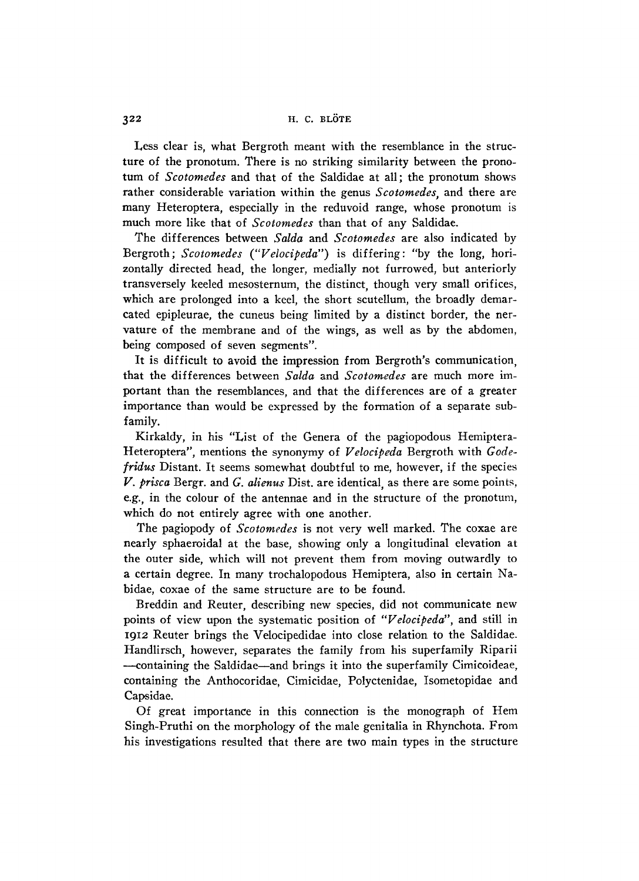**Less clear is, what Bergroth meant with the resemblance in the structure of the pronotum. There is no striking similarity between the pronotum of** *Scotomedes* **and that of the Saldidae at all; the pronotum shows rather considerable variation within the genus** *Scotomedes,* **and there are many Heteroptera, especially in the reduvoid range, whose pronotum is much more like that of** *Scotomedes* **than that of any Saldidae.** 

**The differences between** *Salda* **and** *Scotomedes* **are also indicated by Bergroth;** *Scotomedes ("Velocipeda")* **is differing: "by the long, horizontally directed head, the longer, medially not furrowed, but anteriorly transversely keeled mesosternum, the distinct, though very small orifices, which are prolonged into a keel, the short scutellum, the broadly demarcated epipleurae, the cuneus being limited by a distinct border, the nervature of the membrane and of the wings, as well as by the abdomen, being composed of seven segments".** 

**It is difficult to avoid the impression from Bergroth's communication, that the differences between** *Salda* **and** *Scotomedes* **are much more important than the resemblances, and that the differences are of a greater importance than would be expressed by the formation of a separate subfamily.** 

**Kirkaldy, in his "List of the Genera of the pagiopodous Hemiptera-Heteroptera", mentions the synonymy of** *Velocipeda* **Bergroth with** *Godefridus* **Distant. It seems somewhat doubtful to me, however, if the species**  *V. prisca* **Bergr. and** *G. alienus* **Dist. are identical, as there are some points, e.g., in the colour of the antennae and in the structure of the pronotum, which do not entirely agree with one another.** 

**The pagiopody of** *Scotomedes* **is not very well marked. The coxae are nearly sphaeroidal at the base, showing only a longitudinal elevation at the outer side, which will not prevent them from moving outwardly to a certain degree. In many trochalopodous Hemiptera, also in certain Nabidae, coxae of the same structure are to be found.** 

**Breddin and Reuter, describing new species, did not communicate new points of view upon the systematic position of** *"Velocipeda",* **and still in**  1912 **Reuter brings the Velocipedidae into close relation to the Saldidae. Handlirsch, however, separates the family from his superfamily Riparii —containing the Saldidae—and brings it into the superfamily Cimicoideae, containing the Anthocoridae, Cimicidae, Polyctenidae, Isometopidae and Capsidae.** 

**O f great importance in this connection is the monograph of Hem Singh-Pruthi on the morphology of the male genitalia in Rhynchota. From his investigations resulted that there are two main types in the structure**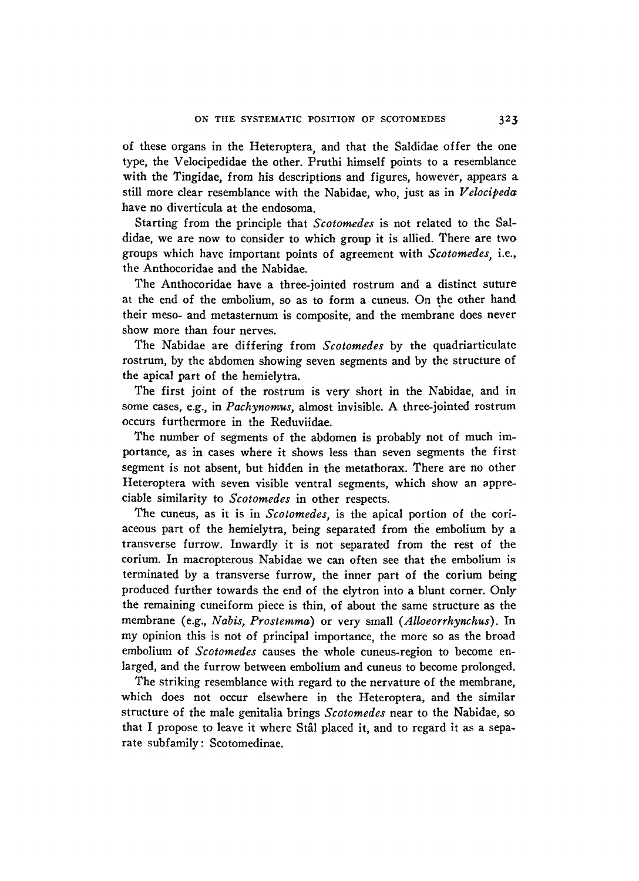**of these organs in the Heteroptera, and that the Saldidae offer the one type, the Velocipedidae the other. Pruthi himself points to a resemblance with the Tingidae, from his descriptions and figures, however, appears a still more clear resemblance with the Nabidae, who, just as in** *Velocipeda*  **have no diverticula at the endosoma.** 

**Starting from the principle that** *Scotomedes* **is not related to the Saldidae, we are now to consider to which group it is allied. There are two groups which have important points of agreement with** *Scotomedes,* **i.e., the Anthocoridae and the Nabidae.** 

**The Anthocoridae have a three-jointed rostrum and a distinct suture**  at the end of the embolium, so as to form a cuneus. On the other hand **their meso- and metasternum is composite, and the membrane does never show more than four nerves.** 

**The Nabidae are differing from** *Scotomedes* **by the quadriarticulate rostrum, by the abdomen showing seven segments and by the structure of the apical part of the hemielytra.** 

**The first joint of the rostrum is very short in the Nabidae, and in some cases, e.g., in** *Pachynomus,* **almost invisible. A three-jointed rostrum occurs furthermore in the Reduviidae.** 

**The number of segments of the abdomen is probably not of much importance, as in cases where it shows less than seven segments the first segment is not absent, but hidden in the metathorax. There are no other Heteroptera with seven visible ventral segments, which show an appreciable similarity to** *Scotomedes* **in other respects.** 

**The cuneus, as it is in** *Scotomedes,* **is the apical portion of the cori**aceous part of the hemielytra, being separated from the embolium by a **transverse furrow. Inwardly it is not separated from the rest of the corium. In macropterous Nabidae we can often see that the embolium is terminated by a transverse furrow, the inner part of the corium being produced further towards the end of the elytron into a blunt corner. Only the remaining cuneiform piece is thin, of about the same structure as the membrane (e.g.,** *Nabis, Prostemma)* **or very small** *(Alloeorrhynchus).* **In my opinion this is not of principal importance, the more so as the broad embolium of** *Scotomedes* **causes the whole cuneus-region to become enlarged, and the furrow between embolium and cuneus to become prolonged.** 

**The striking resemblance with regard to the nervature of the membrane, which does not occur elsewhere in the Heteroptera, and the similar structure of the male genitalia brings** *Scotomedes* **near to the Nabidae, so that I propose to leave it where Stal placed it, and to regard it as a separate subfamily: Scotomedinae.**